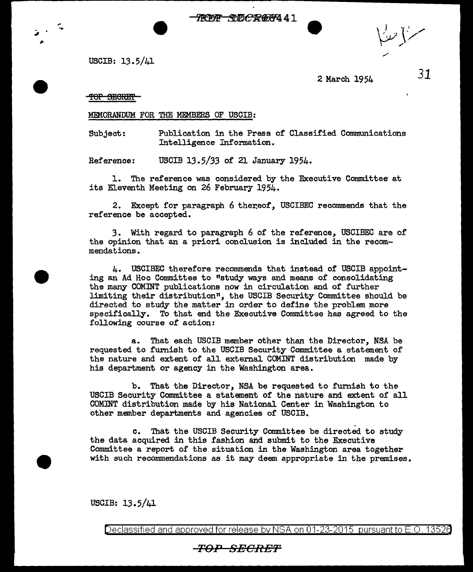**TREAT SUBCARGE441** 

سنز با مندنُ

USCIB: 13.5/41

 $\frac{1}{2}$  ,  $\frac{1}{2}$ .....

2 March 1954

*31* 

TOP SECRET

MEMORANDUM FOR THE MEMBERS OF USCIB:

Subject: Publication in the Press of Classified Communications Intelligence Information.

Reference: USCIB 13.5/33 of 21 January 1954.

1. The reference was considered by the Executive Committee at its Eleventh Meeting on 26 February 1954.

2. Except for paragraph 6 thereof, USCIBEC recommends that the reference be accepted.

3. With regard to paragraph 6 of the reference, USCIBEC are of the opinion that an a priori conclusion is included in the recommendations.

4. USCIBEC therefore recommends that instead of USCIB appointing an Ad Hoc Committee to "study ways and means of consolidating the many COMINT publications now in circulation and of further limiting their distribution", the USCIB Security Committee should be directed to study the matter in order to define the problem more specifically. To that end the Executive Committee has agreed to the following course of action:

a. That each USCIB member other than the Director, NSA be requested to furnish to the USCIB Security Committee a statement of the nature and extent of all external COMINT distribution made by his department or agency in the Washington area.

b. That the Director, NSA be requested to furnish to the USCIB Security Committee a statement of the nature and extent of all COMINT distribution made by his National Center in Washington to other member departments and agencies of USCIB.

c. That the USCIB Security Committee be directed to study the data acquired in this fashion and submit to the Executive Committee a report of the situation in the Washington area together with such recommendations as it may deem appropriate in the premises.

USCIB: 13.5/41

Declassified and approved for release by NSA on  $01-23-2015$  pursuant to  $E$  O. 13526

## TO:P SECRET'